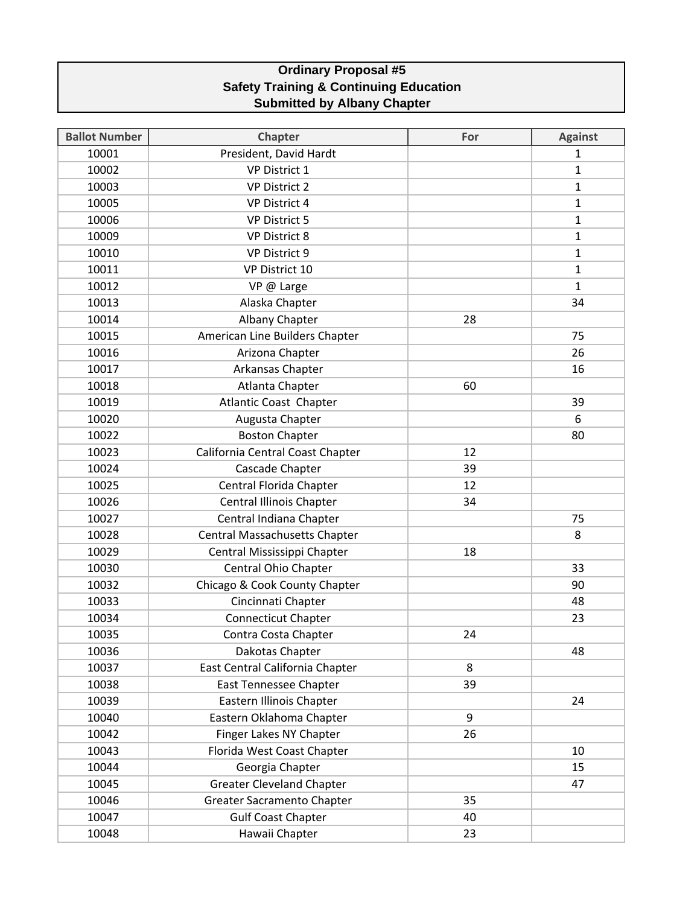## **Ordinary Proposal #5 Safety Training & Continuing Education Submitted by Albany Chapter**

| <b>Ballot Number</b> | <b>Chapter</b>                       | For | <b>Against</b> |
|----------------------|--------------------------------------|-----|----------------|
| 10001                | President, David Hardt               |     | $\mathbf{1}$   |
| 10002                | <b>VP District 1</b>                 |     | $\mathbf{1}$   |
| 10003                | <b>VP District 2</b>                 |     | $\mathbf{1}$   |
| 10005                | <b>VP District 4</b>                 |     | $\mathbf{1}$   |
| 10006                | <b>VP District 5</b>                 |     | $\mathbf{1}$   |
| 10009                | <b>VP District 8</b>                 |     | 1              |
| 10010                | VP District 9                        |     | 1              |
| 10011                | VP District 10                       |     | $\mathbf{1}$   |
| 10012                | VP @ Large                           |     | $\mathbf{1}$   |
| 10013                | Alaska Chapter                       |     | 34             |
| 10014                | Albany Chapter                       | 28  |                |
| 10015                | American Line Builders Chapter       |     | 75             |
| 10016                | Arizona Chapter                      |     | 26             |
| 10017                | Arkansas Chapter                     |     | 16             |
| 10018                | Atlanta Chapter                      | 60  |                |
| 10019                | <b>Atlantic Coast Chapter</b>        |     | 39             |
| 10020                | Augusta Chapter                      |     | 6              |
| 10022                | <b>Boston Chapter</b>                |     | 80             |
| 10023                | California Central Coast Chapter     | 12  |                |
| 10024                | Cascade Chapter                      | 39  |                |
| 10025                | Central Florida Chapter              | 12  |                |
| 10026                | Central Illinois Chapter             | 34  |                |
| 10027                | Central Indiana Chapter              |     | 75             |
| 10028                | <b>Central Massachusetts Chapter</b> |     | 8              |
| 10029                | Central Mississippi Chapter          | 18  |                |
| 10030                | Central Ohio Chapter                 |     | 33             |
| 10032                | Chicago & Cook County Chapter        |     | 90             |
| 10033                | Cincinnati Chapter                   |     | 48             |
| 10034                | <b>Connecticut Chapter</b>           |     | 23             |
| 10035                | Contra Costa Chapter                 | 24  |                |
| 10036                | Dakotas Chapter                      |     | 48             |
| 10037                | East Central California Chapter      | 8   |                |
| 10038                | <b>East Tennessee Chapter</b>        | 39  |                |
| 10039                | Eastern Illinois Chapter             |     | 24             |
| 10040                | Eastern Oklahoma Chapter             | 9   |                |
| 10042                | Finger Lakes NY Chapter              | 26  |                |
| 10043                | Florida West Coast Chapter           |     | 10             |
| 10044                | Georgia Chapter                      |     | 15             |
| 10045                | <b>Greater Cleveland Chapter</b>     |     | 47             |
| 10046                | <b>Greater Sacramento Chapter</b>    | 35  |                |
| 10047                | <b>Gulf Coast Chapter</b>            | 40  |                |
| 10048                | Hawaii Chapter                       | 23  |                |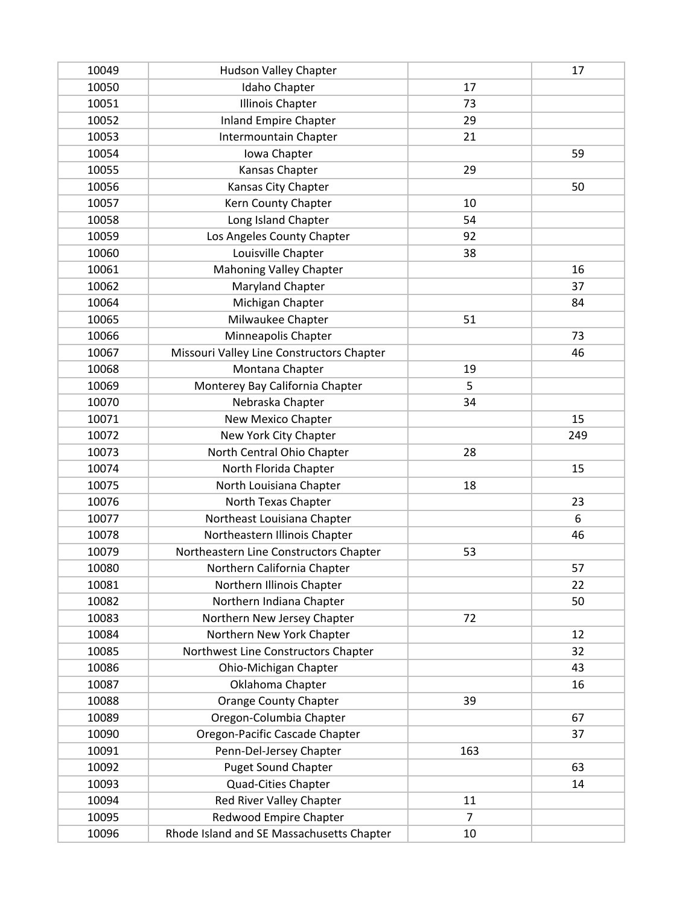| 10049 | <b>Hudson Valley Chapter</b>              |     | 17  |
|-------|-------------------------------------------|-----|-----|
| 10050 | Idaho Chapter                             | 17  |     |
| 10051 | <b>Illinois Chapter</b>                   | 73  |     |
| 10052 | <b>Inland Empire Chapter</b>              | 29  |     |
| 10053 | Intermountain Chapter                     | 21  |     |
| 10054 | Iowa Chapter                              |     | 59  |
| 10055 | Kansas Chapter                            | 29  |     |
| 10056 | Kansas City Chapter                       |     | 50  |
| 10057 | Kern County Chapter                       | 10  |     |
| 10058 | Long Island Chapter                       | 54  |     |
| 10059 | Los Angeles County Chapter                | 92  |     |
| 10060 | Louisville Chapter                        | 38  |     |
| 10061 | <b>Mahoning Valley Chapter</b>            |     | 16  |
| 10062 | Maryland Chapter                          |     | 37  |
| 10064 | Michigan Chapter                          |     | 84  |
| 10065 | Milwaukee Chapter                         | 51  |     |
| 10066 | Minneapolis Chapter                       |     | 73  |
| 10067 | Missouri Valley Line Constructors Chapter |     | 46  |
| 10068 | Montana Chapter                           | 19  |     |
| 10069 | Monterey Bay California Chapter           | 5   |     |
| 10070 | Nebraska Chapter                          | 34  |     |
| 10071 | New Mexico Chapter                        |     | 15  |
| 10072 | New York City Chapter                     |     | 249 |
| 10073 | North Central Ohio Chapter                | 28  |     |
| 10074 | North Florida Chapter                     |     | 15  |
| 10075 | North Louisiana Chapter                   | 18  |     |
| 10076 | North Texas Chapter                       |     | 23  |
| 10077 | Northeast Louisiana Chapter               |     | 6   |
| 10078 | Northeastern Illinois Chapter             |     | 46  |
| 10079 | Northeastern Line Constructors Chapter    | 53  |     |
| 10080 | Northern California Chapter               |     | 57  |
| 10081 | Northern Illinois Chapter                 |     | 22  |
| 10082 | Northern Indiana Chapter                  |     | 50  |
| 10083 | Northern New Jersey Chapter               | 72  |     |
| 10084 | Northern New York Chapter                 |     | 12  |
| 10085 | Northwest Line Constructors Chapter       |     | 32  |
| 10086 | Ohio-Michigan Chapter                     |     | 43  |
| 10087 | Oklahoma Chapter                          |     | 16  |
| 10088 | <b>Orange County Chapter</b>              | 39  |     |
| 10089 | Oregon-Columbia Chapter                   |     | 67  |
| 10090 | Oregon-Pacific Cascade Chapter            |     | 37  |
| 10091 | Penn-Del-Jersey Chapter                   | 163 |     |
| 10092 | <b>Puget Sound Chapter</b>                |     | 63  |
| 10093 | Quad-Cities Chapter                       |     | 14  |
| 10094 | Red River Valley Chapter                  | 11  |     |
| 10095 | Redwood Empire Chapter                    | 7   |     |
| 10096 | Rhode Island and SE Massachusetts Chapter | 10  |     |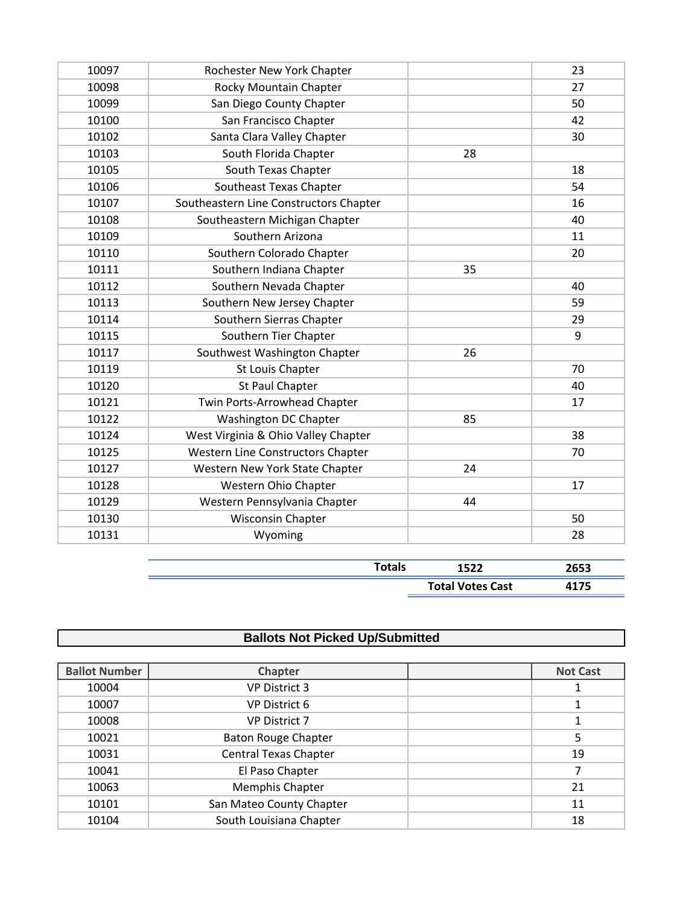| 10097 | Rochester New York Chapter             |    | 23 |
|-------|----------------------------------------|----|----|
| 10098 | Rocky Mountain Chapter                 |    | 27 |
| 10099 | San Diego County Chapter               |    | 50 |
| 10100 | San Francisco Chapter                  |    | 42 |
| 10102 | Santa Clara Valley Chapter             |    | 30 |
| 10103 | South Florida Chapter                  | 28 |    |
| 10105 | South Texas Chapter                    |    | 18 |
| 10106 | Southeast Texas Chapter                |    | 54 |
| 10107 | Southeastern Line Constructors Chapter |    | 16 |
| 10108 | Southeastern Michigan Chapter          |    | 40 |
| 10109 | Southern Arizona                       |    | 11 |
| 10110 | Southern Colorado Chapter              |    | 20 |
| 10111 | Southern Indiana Chapter               | 35 |    |
| 10112 | Southern Nevada Chapter                |    | 40 |
| 10113 | Southern New Jersey Chapter            |    | 59 |
| 10114 | Southern Sierras Chapter               |    | 29 |
| 10115 | Southern Tier Chapter                  |    | 9  |
| 10117 | Southwest Washington Chapter           | 26 |    |
| 10119 | St Louis Chapter                       |    | 70 |
| 10120 | St Paul Chapter                        |    | 40 |
| 10121 | Twin Ports-Arrowhead Chapter           |    | 17 |
| 10122 | Washington DC Chapter                  | 85 |    |
| 10124 | West Virginia & Ohio Valley Chapter    |    | 38 |
| 10125 | Western Line Constructors Chapter      |    | 70 |
| 10127 | Western New York State Chapter         | 24 |    |
| 10128 | Western Ohio Chapter                   |    | 17 |
| 10129 | Western Pennsylvania Chapter           | 44 |    |
| 10130 | Wisconsin Chapter                      |    | 50 |
| 10131 | Wyoming                                |    | 28 |
|       |                                        |    |    |

| . Judis 19 | 1 につつ<br>1522           | <b>DEES</b><br>-933 |
|------------|-------------------------|---------------------|
|            | <b>Total Votes Cast</b> |                     |

## **Ballots Not Picked Up/Submitted**

| <b>Ballot Number</b> | <b>Chapter</b>               | <b>Not Cast</b> |
|----------------------|------------------------------|-----------------|
| 10004                | <b>VP District 3</b>         |                 |
| 10007                | <b>VP District 6</b>         |                 |
| 10008                | <b>VP District 7</b>         |                 |
| 10021                | <b>Baton Rouge Chapter</b>   | 5               |
| 10031                | <b>Central Texas Chapter</b> | 19              |
| 10041                | El Paso Chapter              |                 |
| 10063                | Memphis Chapter              | 21              |
| 10101                | San Mateo County Chapter     | 11              |
| 10104                | South Louisiana Chapter      | 18              |